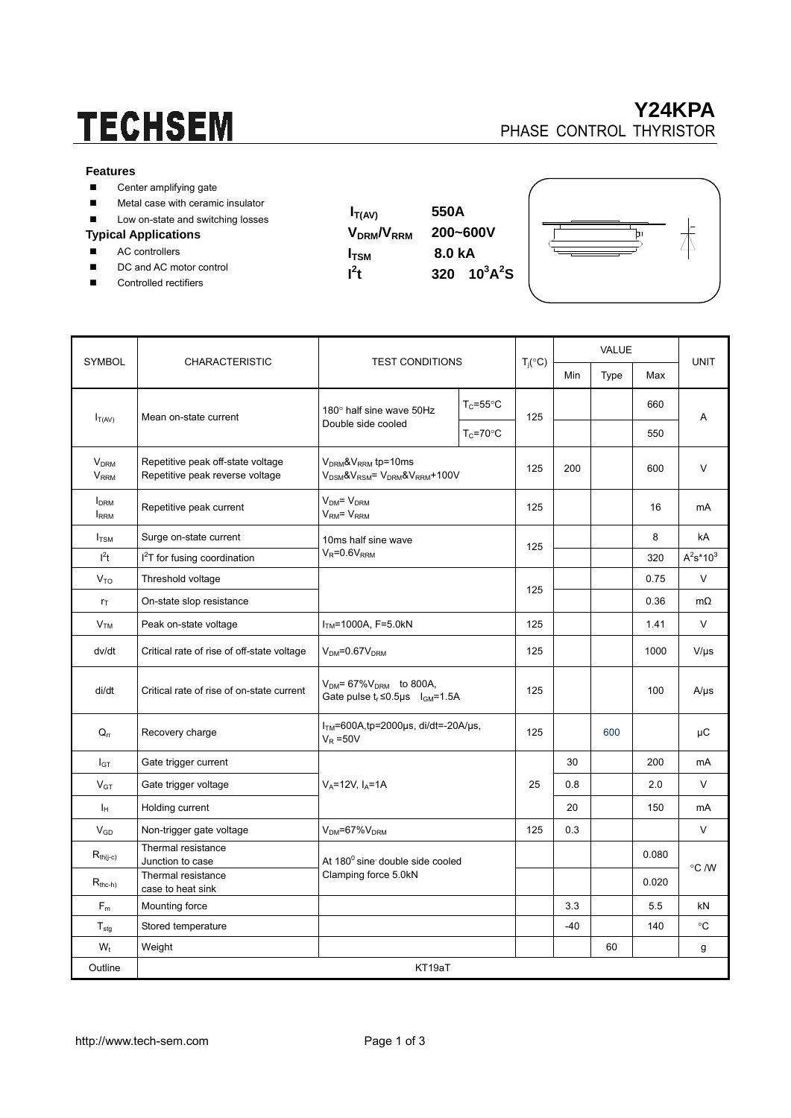# **TECHSEM**

### **Y24KPA**  PHASE CONTROL THYRISTOR

#### **Features**

- Center amplifying gate
- **Metal case with ceramic insulator**
- Low on-state and switching losses

#### **Typical Applications**

- AC controllers
- DC and AC motor control
- Controlled rectifiers

 $I_{T(AV)}$  550A **VDRM/VRRM 200~600V I**<sub>TSM</sub> 8.0 kA  $t$  320  $10^3$ A<sup>2</sup>S

 $\mathbf{I}^2$ 



| <b>SYMBOL</b>                          | <b>CHARACTERISTIC</b>                                                | <b>TEST CONDITIONS</b>                                                                                         |                      | $T_i({}^{\circ}C)$ | <b>VALUE</b> |      |       | <b>UNIT</b>  |
|----------------------------------------|----------------------------------------------------------------------|----------------------------------------------------------------------------------------------------------------|----------------------|--------------------|--------------|------|-------|--------------|
|                                        |                                                                      |                                                                                                                |                      |                    | Min          | Type | Max   |              |
| $I_{T(AV)}$                            | Mean on-state current                                                | 180° half sine wave 50Hz<br>Double side cooled                                                                 | $T_c = 55^{\circ}$ C | 125                |              |      | 660   | Α            |
|                                        |                                                                      |                                                                                                                | $T_c = 70$ °C        |                    |              |      | 550   |              |
| <b>V<sub>DRM</sub></b><br><b>VRRM</b>  | Repetitive peak off-state voltage<br>Repetitive peak reverse voltage | $V_{DRM}$ & $V_{RRM}$ tp=10ms<br>V <sub>DSM</sub> &V <sub>RSM</sub> = V <sub>DRM</sub> &V <sub>RRM</sub> +100V |                      | 125                | 200          |      | 600   | V            |
| <b>I</b> <sub>DRM</sub><br><b>IRRM</b> | Repetitive peak current                                              | $V_{DM} = V_{DRM}$<br>$VRM = VRRM$                                                                             |                      | 125                |              |      | 16    | mA           |
| $I_{TSM}$                              | Surge on-state current                                               | 10ms half sine wave<br>$V_R = 0.6V_{RRM}$                                                                      |                      | 125                |              |      | 8     | kA           |
| I <sup>2</sup> t                       | $I2T$ for fusing coordination                                        |                                                                                                                |                      |                    |              |      | 320   | $A^2s^*10^3$ |
| V <sub>TO</sub>                        | Threshold voltage                                                    |                                                                                                                |                      | 125                |              |      | 0.75  | V            |
| $r_{\text{T}}$                         | On-state slop resistance                                             |                                                                                                                |                      |                    |              |      | 0.36  | $m\Omega$    |
| V <sub>TM</sub>                        | Peak on-state voltage                                                | $ITM=1000A, F=5.0kN$                                                                                           |                      | 125                |              |      | 1.41  | V            |
| dv/dt                                  | Critical rate of rise of off-state voltage                           | $VDM=0.67VDRM$                                                                                                 |                      | 125                |              |      | 1000  | $V/\mu s$    |
| di/dt                                  | Critical rate of rise of on-state current                            | $V_{DM}$ = 67% $V_{DRM}$ to 800A,<br>Gate pulse $t_r \le 0.5\mu s$ $I_{GM} = 1.5A$                             |                      | 125                |              |      | 100   | $A/\mu s$    |
| $Q_{rr}$                               | Recovery charge                                                      | $ITM=600A$ , tp=2000µs, di/dt=-20A/µs,<br>$V_R = 50V$                                                          |                      | 125                |              | 600  |       | μC           |
| $I_{GT}$                               | Gate trigger current                                                 | $V_A = 12V$ , $I_A = 1A$                                                                                       |                      | 25                 | 30           |      | 200   | mA           |
| $V_{GT}$                               | Gate trigger voltage                                                 |                                                                                                                |                      |                    | 0.8          |      | 2.0   | V            |
| Iн                                     | Holding current                                                      |                                                                                                                |                      |                    | 20           |      | 150   | mA           |
| $V_{GD}$                               | Non-trigger gate voltage                                             | V <sub>DM</sub> =67%V <sub>DRM</sub>                                                                           |                      | 125                | 0.3          |      |       | $\vee$       |
| $R_{th(j-c)}$                          | Thermal resistance<br>Junction to case                               | At 180 <sup>0</sup> sine double side cooled<br>Clamping force 5.0kN                                            |                      |                    |              |      | 0.080 | °C /W        |
| $R_{the-h}$                            | Thermal resistance<br>case to heat sink                              |                                                                                                                |                      |                    |              |      | 0.020 |              |
| $F_m$                                  | Mounting force                                                       |                                                                                                                |                      |                    | 3.3          |      | 5.5   | kN           |
| $T_{\text{stq}}$                       | Stored temperature                                                   |                                                                                                                |                      |                    | $-40$        |      | 140   | $^{\circ}C$  |
| $W_t$                                  | Weight                                                               |                                                                                                                |                      |                    |              | 60   |       | g            |
| Outline                                | KT19aT                                                               |                                                                                                                |                      |                    |              |      |       |              |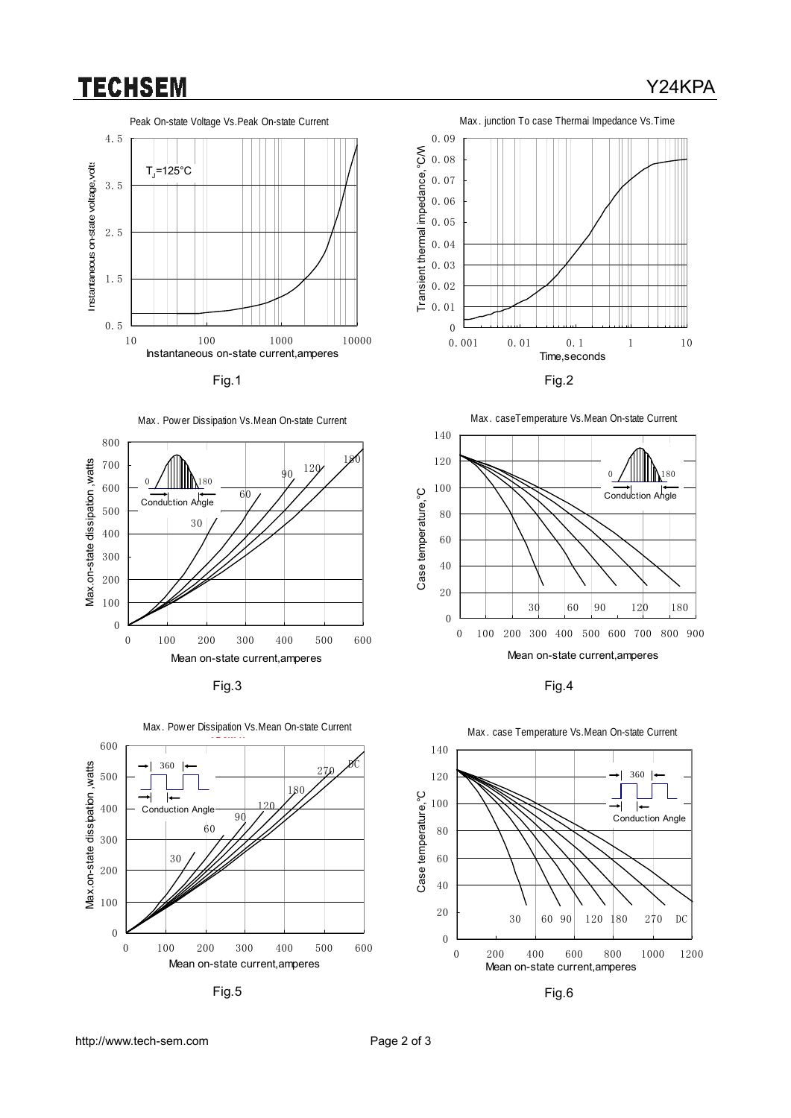### **TECHSEM**



Fig.1 Fig.2







Fig.5 Fig.6









Mean on-state current,amperes





Y24KPA